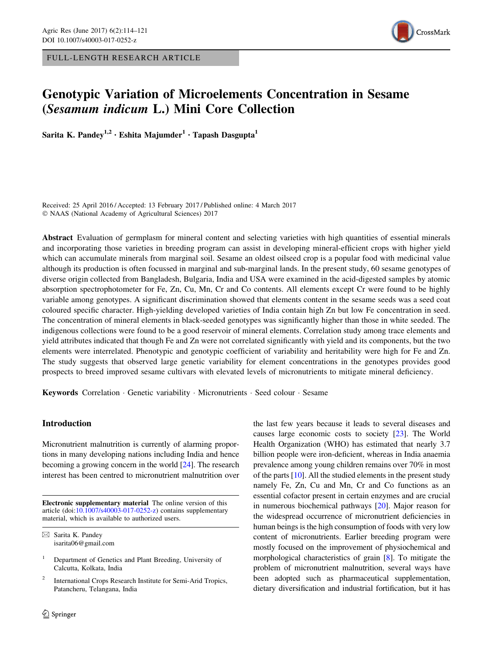FULL-LENGTH RESEARCH ARTICLE



# Genotypic Variation of Microelements Concentration in Sesame (Sesamum indicum L.) Mini Core Collection

Sarita K. Pandey<sup>1,2</sup> • Eshita Majumder<sup>1</sup> • Tapash Dasgupta<sup>1</sup>

Received: 25 April 2016 / Accepted: 13 February 2017 / Published online: 4 March 2017 © NAAS (National Academy of Agricultural Sciences) 2017

Abstract Evaluation of germplasm for mineral content and selecting varieties with high quantities of essential minerals and incorporating those varieties in breeding program can assist in developing mineral-efficient crops with higher yield which can accumulate minerals from marginal soil. Sesame an oldest oilseed crop is a popular food with medicinal value although its production is often focussed in marginal and sub-marginal lands. In the present study, 60 sesame genotypes of diverse origin collected from Bangladesh, Bulgaria, India and USA were examined in the acid-digested samples by atomic absorption spectrophotometer for Fe, Zn, Cu, Mn, Cr and Co contents. All elements except Cr were found to be highly variable among genotypes. A significant discrimination showed that elements content in the sesame seeds was a seed coat coloured specific character. High-yielding developed varieties of India contain high Zn but low Fe concentration in seed. The concentration of mineral elements in black-seeded genotypes was significantly higher than those in white seeded. The indigenous collections were found to be a good reservoir of mineral elements. Correlation study among trace elements and yield attributes indicated that though Fe and Zn were not correlated significantly with yield and its components, but the two elements were interrelated. Phenotypic and genotypic coefficient of variability and heritability were high for Fe and Zn. The study suggests that observed large genetic variability for element concentrations in the genotypes provides good prospects to breed improved sesame cultivars with elevated levels of micronutrients to mitigate mineral deficiency.

Keywords Correlation · Genetic variability · Micronutrients · Seed colour · Sesame

## Introduction

Micronutrient malnutrition is currently of alarming proportions in many developing nations including India and hence becoming a growing concern in the world [[24\]](#page-7-0). The research interest has been centred to micronutrient malnutrition over

Electronic supplementary material The online version of this article (doi:[10.1007/s40003-017-0252-z](http://dx.doi.org/10.1007/s40003-017-0252-z)) contains supplementary material, which is available to authorized users.

the last few years because it leads to several diseases and causes large economic costs to society [\[23\]](#page-7-0). The World Health Organization (WHO) has estimated that nearly 3.7 billion people were iron-deficient, whereas in India anaemia prevalence among young children remains over 70% in most of the parts  $[10]$  $[10]$ . All the studied elements in the present study namely Fe, Zn, Cu and Mn, Cr and Co functions as an essential cofactor present in certain enzymes and are crucial in numerous biochemical pathways [\[20\]](#page-7-0). Major reason for the widespread occurrence of micronutrient deficiencies in human beings is the high consumption of foods with very low content of micronutrients. Earlier breeding program were mostly focused on the improvement of physiochemical and morphological characteristics of grain [[8\]](#page-7-0). To mitigate the problem of micronutrient malnutrition, several ways have been adopted such as pharmaceutical supplementation, dietary diversification and industrial fortification, but it has

 $\boxtimes$  Sarita K. Pandey isarita06@gmail.com

<sup>1</sup> Department of Genetics and Plant Breeding, University of Calcutta, Kolkata, India

<sup>2</sup> International Crops Research Institute for Semi-Arid Tropics, Patancheru, Telangana, India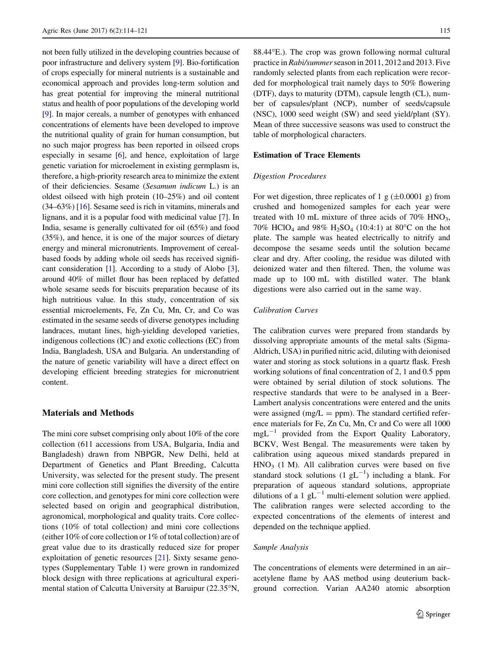not been fully utilized in the developing countries because of poor infrastructure and delivery system [\[9](#page-7-0)]. Bio-fortification of crops especially for mineral nutrients is a sustainable and economical approach and provides long-term solution and has great potential for improving the mineral nutritional status and health of poor populations of the developing world [\[9](#page-7-0)]. In major cereals, a number of genotypes with enhanced concentrations of elements have been developed to improve the nutritional quality of grain for human consumption, but no such major progress has been reported in oilseed crops especially in sesame [[6](#page-7-0)], and hence, exploitation of large genetic variation for microelement in existing germplasm is, therefore, a high-priority research area to minimize the extent of their deficiencies. Sesame (Sesamum indicum L.) is an oldest oilseed with high protein (10–25%) and oil content (34–63%) [[16](#page-7-0)]. Sesame seed is rich in vitamins, minerals and lignans, and it is a popular food with medicinal value [[7\]](#page-7-0). In India, sesame is generally cultivated for oil (65%) and food (35%), and hence, it is one of the major sources of dietary energy and mineral micronutrients. Improvement of cerealbased foods by adding whole oil seeds has received significant consideration [\[1\]](#page-7-0). According to a study of Alobo [[3](#page-7-0)], around 40% of millet flour has been replaced by defatted whole sesame seeds for biscuits preparation because of its high nutritious value. In this study, concentration of six essential microelements, Fe, Zn Cu, Mn, Cr, and Co was estimated in the sesame seeds of diverse genotypes including landraces, mutant lines, high-yielding developed varieties, indigenous collections (IC) and exotic collections (EC) from India, Bangladesh, USA and Bulgaria. An understanding of the nature of genetic variability will have a direct effect on developing efficient breeding strategies for micronutrient content.

## Materials and Methods

The mini core subset comprising only about 10% of the core collection (611 accessions from USA, Bulgaria, India and Bangladesh) drawn from NBPGR, New Delhi, held at Department of Genetics and Plant Breeding, Calcutta University, was selected for the present study. The present mini core collection still signifies the diversity of the entire core collection, and genotypes for mini core collection were selected based on origin and geographical distribution, agronomical, morphological and quality traits. Core collections (10% of total collection) and mini core collections (either 10% of core collection or 1% of total collection) are of great value due to its drastically reduced size for proper exploitation of genetic resources [[21\]](#page-7-0). Sixty sesame genotypes (Supplementary Table 1) were grown in randomized block design with three replications at agricultural experimental station of Calcutta University at Baruipur (22.35°N,  $88.44^{\circ}$ E.). The crop was grown following normal cultural practice in Rabi/summerseason in 2011, 2012 and 2013. Five randomly selected plants from each replication were recorded for morphological trait namely days to 50% flowering (DTF), days to maturity (DTM), capsule length (CL), number of capsules/plant (NCP), number of seeds/capsule (NSC), 1000 seed weight (SW) and seed yield/plant (SY). Mean of three successive seasons was used to construct the table of morphological characters.

#### Estimation of Trace Elements

#### Digestion Procedures

For wet digestion, three replicates of 1 g  $(\pm 0.0001 \text{ g})$  from crushed and homogenized samples for each year were treated with 10 mL mixture of three acids of  $70\%$  HNO<sub>3</sub>, 70% HClO<sub>4</sub> and 98% H<sub>2</sub>SO<sub>4</sub> (10:4:1) at 80°C on the hot plate. The sample was heated electrically to nitrify and decompose the sesame seeds until the solution became clear and dry. After cooling, the residue was diluted with deionized water and then filtered. Then, the volume was made up to 100 mL with distilled water. The blank digestions were also carried out in the same way.

## Calibration Curves

The calibration curves were prepared from standards by dissolving appropriate amounts of the metal salts (Sigma-Aldrich, USA) in purified nitric acid, diluting with deionised water and storing as stock solutions in a quartz flask. Fresh working solutions of final concentration of 2, 1 and 0.5 ppm were obtained by serial dilution of stock solutions. The respective standards that were to be analysed in a Beer-Lambert analysis concentrations were entered and the units were assigned (mg/ $L = ppm$ ). The standard certified reference materials for Fe, Zn Cu, Mn, Cr and Co were all 1000  $mgL^{-1}$  provided from the Export Quality Laboratory, BCKV, West Bengal. The measurements were taken by calibration using aqueous mixed standards prepared in  $HNO<sub>3</sub>$  (1 M). All calibration curves were based on five standard stock solutions  $(1 gL^{-1})$  including a blank. For preparation of aqueous standard solutions, appropriate dilutions of a 1  $gL^{-1}$  multi-element solution were applied. The calibration ranges were selected according to the expected concentrations of the elements of interest and depended on the technique applied.

#### Sample Analysis

The concentrations of elements were determined in an air– acetylene flame by AAS method using deuterium background correction. Varian AA240 atomic absorption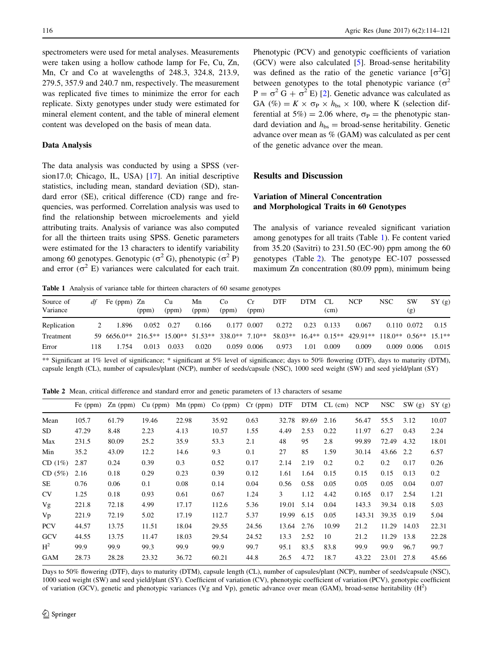<span id="page-2-0"></span>spectrometers were used for metal analyses. Measurements were taken using a hollow cathode lamp for Fe, Cu, Zn, Mn, Cr and Co at wavelengths of 248.3, 324.8, 213.9, 279.5, 357.9 and 240.7 nm, respectively. The measurement was replicated five times to minimize the error for each replicate. Sixty genotypes under study were estimated for mineral element content, and the table of mineral element content was developed on the basis of mean data.

#### Data Analysis

The data analysis was conducted by using a SPSS (version17.0; Chicago, IL, USA) [\[17](#page-7-0)]. An initial descriptive statistics, including mean, standard deviation (SD), standard error (SE), critical difference (CD) range and frequencies, was performed. Correlation analysis was used to find the relationship between microelements and yield attributing traits. Analysis of variance was also computed for all the thirteen traits using SPSS. Genetic parameters were estimated for the 13 characters to identify variability among 60 genotypes. Genotypic ( $\sigma^2$  G), phenotypic ( $\sigma^2$  P) and error ( $\sigma^2$  E) variances were calculated for each trait.

Phenotypic (PCV) and genotypic coefficients of variation (GCV) were also calculated [\[5](#page-7-0)]. Broad-sense heritability was defined as the ratio of the genetic variance  $[\sigma^2 G]$ between genotypes to the total phenotypic variance ( $\sigma^2$ )  $P = \sigma^2 G + \sigma^2 E$  [\[2](#page-7-0)]. Genetic advance was calculated as GA (%) =  $K \times \sigma_{\rm P} \times h_{\rm bs} \times 100$ , where K (selection differential at 5%) = 2.06 where,  $\sigma_{\rm P}$  = the phenotypic standard deviation and  $h_{\text{bs}} =$  broad-sense heritability. Genetic advance over mean as % (GAM) was calculated as per cent of the genetic advance over the mean.

## Results and Discussion

# Variation of Mineral Concentration and Morphological Traits in 60 Genotypes

The analysis of variance revealed significant variation among genotypes for all traits (Table 1). Fe content varied from 35.20 (Savitri) to 231.50 (EC-90) ppm among the 60 genotypes (Table 2). The genotype EC-107 possessed maximum Zn concentration (80.09 ppm), minimum being

Table 1 Analysis of variance table for thirteen characters of 60 sesame genotypes

| Source of   | df  | Fe $(ppm)$ Zn                                      |       | Cu    | Mn    | Co.         | Cr          | <b>DTF</b> | <b>DTM</b> | CL    | <b>NCP</b>                     | <b>NSC</b>              | SW              | SY(g) |
|-------------|-----|----------------------------------------------------|-------|-------|-------|-------------|-------------|------------|------------|-------|--------------------------------|-------------------------|-----------------|-------|
| Variance    |     |                                                    | (ppm) | (ppm) | (ppm) | (ppm)       | (ppm)       |            |            | (cm)  |                                |                         | (g)             |       |
| Replication |     | 1.896                                              | 0.052 | 0.27  | 0.166 | 0.177 0.007 |             | 0.272      | 0.23       | 0.133 | 0.067                          |                         | 0.110 0.072     | 0.15  |
| Treatment   |     | 59 6656.0** 216.5** 15.00** 51.53** 338.0** 7.10** |       |       |       |             |             |            |            |       | 58.03** 16.4** 0.15** 429.91** | $118.0**$ 0.56** 15.1** |                 |       |
| Error       | 118 | .754                                               | 0.013 | 0.033 | 0.020 |             | 0.059 0.006 | 0.973      | .01        | 0.009 | 0.009                          |                         | $0.009$ $0.006$ | 0.015 |

\*\* Significant at 1% level of significance; \* significant at 5% level of significance; days to 50% flowering (DTF), days to maturity (DTM), capsule length (CL), number of capsules/plant (NCP), number of seeds/capsule (NSC), 1000 seed weight (SW) and seed yield/plant (SY)

Table 2 Mean, critical difference and standard error and genetic parameters of 13 characters of sesame

|            | Fe $(ppm)$ | $Zn$ (ppm) | $Cu$ (ppm) | $Mn$ (ppm) $Co$ (ppm) $Cr$ (ppm) |       |       | DTF   |       | $DTM$ CL $(cm)$ | <b>NCP</b> | NSC        | SW(g) | SY(g) |
|------------|------------|------------|------------|----------------------------------|-------|-------|-------|-------|-----------------|------------|------------|-------|-------|
| Mean       | 105.7      | 61.79      | 19.46      | 22.98                            | 35.92 | 0.63  | 32.78 | 89.69 | 2.16            | 56.47      | 55.5       | 3.12  | 10.07 |
| SD.        | 47.29      | 8.48       | 2.23       | 4.13                             | 10.57 | 1.55  | 4.49  | 2.53  | 0.22            | 11.97      | 6.27       | 0.43  | 2.24  |
| Max        | 231.5      | 80.09      | 25.2       | 35.9                             | 53.3  | 2.1   | 48    | 95    | 2.8             | 99.89      | 72.49      | 4.32  | 18.01 |
| Min        | 35.2       | 43.09      | 12.2       | 14.6                             | 9.3   | 0.1   | 27    | 85    | 1.59            | 30.14      | 43.66      | 2.2   | 6.57  |
| CD(1%)     | 2.87       | 0.24       | 0.39       | 0.3                              | 0.52  | 0.17  | 2.14  | 2.19  | 0.2             | 0.2        | 0.2        | 0.17  | 0.26  |
| CD(5%)     | 2.16       | 0.18       | 0.29       | 0.23                             | 0.39  | 0.12  | 1.61  | 1.64  | 0.15            | 0.15       | 0.15       | 0.13  | 0.2   |
| SE         | 0.76       | 0.06       | 0.1        | 0.08                             | 0.14  | 0.04  | 0.56  | 0.58  | 0.05            | 0.05       | 0.05       | 0.04  | 0.07  |
| <b>CV</b>  | 1.25       | 0.18       | 0.93       | 0.61                             | 0.67  | 1.24  | 3     | 1.12  | 4.42            | 0.165      | 0.17       | 2.54  | 1.21  |
| Vg         | 221.8      | 72.18      | 4.99       | 17.17                            | 112.6 | 5.36  | 19.01 | 5.14  | 0.04            | 143.3      | 39.34      | 0.18  | 5.03  |
| Vp         | 221.9      | 72.19      | 5.02       | 17.19                            | 112.7 | 5.37  | 19.99 | 6.15  | 0.05            | 143.31     | 39.35 0.19 |       | 5.04  |
| <b>PCV</b> | 44.57      | 13.75      | 11.51      | 18.04                            | 29.55 | 24.56 | 13.64 | 2.76  | 10.99           | 21.2       | 11.29      | 14.03 | 22.31 |
| <b>GCV</b> | 44.55      | 13.75      | 11.47      | 18.03                            | 29.54 | 24.52 | 13.3  | 2.52  | 10              | 21.2       | 11.29      | 13.8  | 22.28 |
| $H^2$      | 99.9       | 99.9       | 99.3       | 99.9                             | 99.9  | 99.7  | 95.1  | 83.5  | 83.8            | 99.9       | 99.9       | 96.7  | 99.7  |
| <b>GAM</b> | 28.73      | 28.28      | 23.32      | 36.72                            | 60.21 | 44.8  | 26.5  | 4.72  | 18.7            | 43.22      | 23.01      | 27.8  | 45.66 |

Days to 50% flowering (DTF), days to maturity (DTM), capsule length (CL), number of capsules/plant (NCP), number of seeds/capsule (NSC), 1000 seed weight (SW) and seed yield/plant (SY). Coefficient of variation (CV), phenotypic coefficient of variation (PCV), genotypic coefficient of variation (GCV), genetic and phenotypic variances (Vg and Vp), genetic advance over mean (GAM), broad-sense heritability  $(H^2)$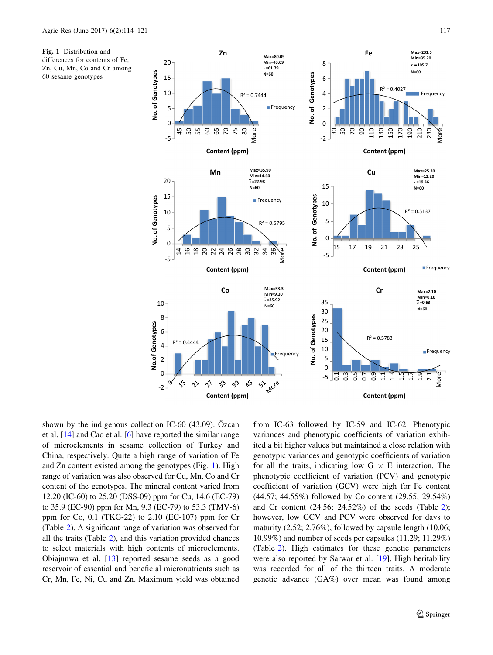



shown by the indigenous collection IC-60  $(43.09)$ . Özcan et al. [\[14](#page-7-0)] and Cao et al. [\[6](#page-7-0)] have reported the similar range of microelements in sesame collection of Turkey and China, respectively. Quite a high range of variation of Fe and Zn content existed among the genotypes (Fig. 1). High range of variation was also observed for Cu, Mn, Co and Cr content of the genotypes. The mineral content varied from 12.20 (IC-60) to 25.20 (DSS-09) ppm for Cu, 14.6 (EC-79) to 35.9 (EC-90) ppm for Mn, 9.3 (EC-79) to 53.3 (TMV-6) ppm for Co, 0.1 (TKG-22) to 2.10 (EC-107) ppm for Cr (Table [2](#page-2-0)). A significant range of variation was observed for all the traits (Table [2\)](#page-2-0), and this variation provided chances to select materials with high contents of microelements. Obiajunwa et al. [[13\]](#page-7-0) reported sesame seeds as a good reservoir of essential and beneficial micronutrients such as Cr, Mn, Fe, Ni, Cu and Zn. Maximum yield was obtained from IC-63 followed by IC-59 and IC-62. Phenotypic variances and phenotypic coefficients of variation exhibited a bit higher values but maintained a close relation with genotypic variances and genotypic coefficients of variation for all the traits, indicating low  $G \times E$  interaction. The phenotypic coefficient of variation (PCV) and genotypic coefficient of variation (GCV) were high for Fe content (44.57; 44.55%) followed by Co content (29.55, 29.54%) and Cr content (24.56; 24.52%) of the seeds (Table [2](#page-2-0)); however, low GCV and PCV were observed for days to maturity (2.52; 2.76%), followed by capsule length (10.06; 10.99%) and number of seeds per capsules (11.29; 11.29%) (Table [2\)](#page-2-0). High estimates for these genetic parameters were also reported by Sarwar et al. [[19\]](#page-7-0). High heritability was recorded for all of the thirteen traits. A moderate genetic advance (GA%) over mean was found among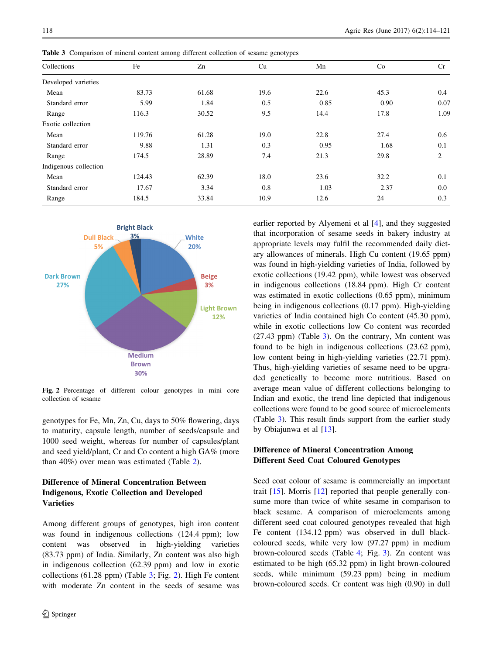| c.<br>$\circ$<br>╯    |        |       |      |      |      |      |  |  |  |  |  |
|-----------------------|--------|-------|------|------|------|------|--|--|--|--|--|
| Collections           | Fe     | Zn    | Cu   | Mn   | Co   | Cr   |  |  |  |  |  |
| Developed varieties   |        |       |      |      |      |      |  |  |  |  |  |
| Mean                  | 83.73  | 61.68 | 19.6 | 22.6 | 45.3 | 0.4  |  |  |  |  |  |
| Standard error        | 5.99   | 1.84  | 0.5  | 0.85 | 0.90 | 0.07 |  |  |  |  |  |
| Range                 | 116.3  | 30.52 | 9.5  | 14.4 | 17.8 | 1.09 |  |  |  |  |  |
| Exotic collection     |        |       |      |      |      |      |  |  |  |  |  |
| Mean                  | 119.76 | 61.28 | 19.0 | 22.8 | 27.4 | 0.6  |  |  |  |  |  |
| Standard error        | 9.88   | 1.31  | 0.3  | 0.95 | 1.68 | 0.1  |  |  |  |  |  |
| Range                 | 174.5  | 28.89 | 7.4  | 21.3 | 29.8 | 2    |  |  |  |  |  |
| Indigenous collection |        |       |      |      |      |      |  |  |  |  |  |
| Mean                  | 124.43 | 62.39 | 18.0 | 23.6 | 32.2 | 0.1  |  |  |  |  |  |
| Standard error        | 17.67  | 3.34  | 0.8  | 1.03 | 2.37 | 0.0  |  |  |  |  |  |
| Range                 | 184.5  | 33.84 | 10.9 | 12.6 | 24   | 0.3  |  |  |  |  |  |
|                       |        |       |      |      |      |      |  |  |  |  |  |

Table 3 Comparison of mineral content among different collection of sesame genotypes



Fig. 2 Percentage of different colour genotypes in mini core collection of sesame

genotypes for Fe, Mn, Zn, Cu, days to 50% flowering, days to maturity, capsule length, number of seeds/capsule and 1000 seed weight, whereas for number of capsules/plant and seed yield/plant, Cr and Co content a high GA% (more than 40%) over mean was estimated (Table [2\)](#page-2-0).

# Difference of Mineral Concentration Between Indigenous, Exotic Collection and Developed Varieties

Among different groups of genotypes, high iron content was found in indigenous collections (124.4 ppm); low content was observed in high-yielding varieties (83.73 ppm) of India. Similarly, Zn content was also high in indigenous collection (62.39 ppm) and low in exotic collections (61.28 ppm) (Table 3; Fig. 2). High Fe content with moderate Zn content in the seeds of sesame was earlier reported by Alyemeni et al [\[4](#page-7-0)], and they suggested that incorporation of sesame seeds in bakery industry at appropriate levels may fulfil the recommended daily dietary allowances of minerals. High Cu content (19.65 ppm) was found in high-yielding varieties of India, followed by exotic collections (19.42 ppm), while lowest was observed in indigenous collections (18.84 ppm). High Cr content was estimated in exotic collections (0.65 ppm), minimum being in indigenous collections (0.17 ppm). High-yielding varieties of India contained high Co content (45.30 ppm), while in exotic collections low Co content was recorded (27.43 ppm) (Table 3). On the contrary, Mn content was found to be high in indigenous collections (23.62 ppm), low content being in high-yielding varieties (22.71 ppm). Thus, high-yielding varieties of sesame need to be upgraded genetically to become more nutritious. Based on average mean value of different collections belonging to Indian and exotic, the trend line depicted that indigenous collections were found to be good source of microelements (Table 3). This result finds support from the earlier study by Obiajunwa et al [\[13](#page-7-0)].

# Difference of Mineral Concentration Among Different Seed Coat Coloured Genotypes

Seed coat colour of sesame is commercially an important trait [\[15](#page-7-0)]. Morris [[12\]](#page-7-0) reported that people generally consume more than twice of white sesame in comparison to black sesame. A comparison of microelements among different seed coat coloured genotypes revealed that high Fe content (134.12 ppm) was observed in dull blackcoloured seeds, while very low (97.27 ppm) in medium brown-coloured seeds (Table [4;](#page-5-0) Fig. [3\)](#page-5-0). Zn content was estimated to be high (65.32 ppm) in light brown-coloured seeds, while minimum (59.23 ppm) being in medium brown-coloured seeds. Cr content was high (0.90) in dull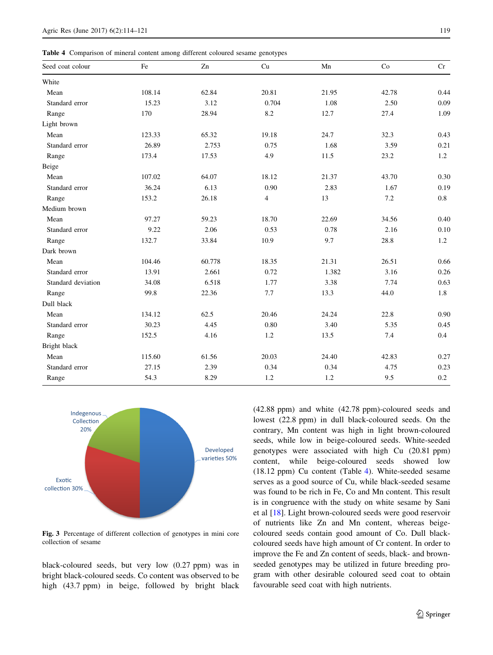<span id="page-5-0"></span>Table 4 Comparison of mineral content among different coloured sesame genotypes

| Seed coat colour   | Fe     | Zn     | Cu             | Mn    | Co    | Cr      |
|--------------------|--------|--------|----------------|-------|-------|---------|
| White              |        |        |                |       |       |         |
| Mean               | 108.14 | 62.84  | 20.81          | 21.95 | 42.78 | 0.44    |
| Standard error     | 15.23  | 3.12   | 0.704          | 1.08  | 2.50  | 0.09    |
| Range              | 170    | 28.94  | 8.2            | 12.7  | 27.4  | 1.09    |
| Light brown        |        |        |                |       |       |         |
| Mean               | 123.33 | 65.32  | 19.18          | 24.7  | 32.3  | 0.43    |
| Standard error     | 26.89  | 2.753  | 0.75           | 1.68  | 3.59  | 0.21    |
| Range              | 173.4  | 17.53  | 4.9            | 11.5  | 23.2  | 1.2     |
| Beige              |        |        |                |       |       |         |
| Mean               | 107.02 | 64.07  | 18.12          | 21.37 | 43.70 | 0.30    |
| Standard error     | 36.24  | 6.13   | 0.90           | 2.83  | 1.67  | 0.19    |
| Range              | 153.2  | 26.18  | $\overline{4}$ | 13    | 7.2   | $0.8\,$ |
| Medium brown       |        |        |                |       |       |         |
| Mean               | 97.27  | 59.23  | 18.70          | 22.69 | 34.56 | 0.40    |
| Standard error     | 9.22   | 2.06   | 0.53           | 0.78  | 2.16  | 0.10    |
| Range              | 132.7  | 33.84  | 10.9           | 9.7   | 28.8  | 1.2     |
| Dark brown         |        |        |                |       |       |         |
| Mean               | 104.46 | 60.778 | 18.35          | 21.31 | 26.51 | 0.66    |
| Standard error     | 13.91  | 2.661  | 0.72           | 1.382 | 3.16  | 0.26    |
| Standard deviation | 34.08  | 6.518  | 1.77           | 3.38  | 7.74  | 0.63    |
| Range              | 99.8   | 22.36  | 7.7            | 13.3  | 44.0  | 1.8     |
| Dull black         |        |        |                |       |       |         |
| Mean               | 134.12 | 62.5   | 20.46          | 24.24 | 22.8  | 0.90    |
| Standard error     | 30.23  | 4.45   | 0.80           | 3.40  | 5.35  | 0.45    |
| Range              | 152.5  | 4.16   | 1.2            | 13.5  | 7.4   | 0.4     |
| Bright black       |        |        |                |       |       |         |
| Mean               | 115.60 | 61.56  | 20.03          | 24.40 | 42.83 | 0.27    |
| Standard error     | 27.15  | 2.39   | 0.34           | 0.34  | 4.75  | 0.23    |
| Range              | 54.3   | 8.29   | $1.2$          | 1.2   | 9.5   | $0.2\,$ |



Fig. 3 Percentage of different collection of genotypes in mini core collection of sesame

black-coloured seeds, but very low (0.27 ppm) was in bright black-coloured seeds. Co content was observed to be high (43.7 ppm) in beige, followed by bright black (42.88 ppm) and white (42.78 ppm)-coloured seeds and lowest (22.8 ppm) in dull black-coloured seeds. On the contrary, Mn content was high in light brown-coloured seeds, while low in beige-coloured seeds. White-seeded genotypes were associated with high Cu (20.81 ppm) content, while beige-coloured seeds showed low (18.12 ppm) Cu content (Table 4). White-seeded sesame serves as a good source of Cu, while black-seeded sesame was found to be rich in Fe, Co and Mn content. This result is in congruence with the study on white sesame by Sani et al [[18\]](#page-7-0). Light brown-coloured seeds were good reservoir of nutrients like Zn and Mn content, whereas beigecoloured seeds contain good amount of Co. Dull blackcoloured seeds have high amount of Cr content. In order to improve the Fe and Zn content of seeds, black- and brownseeded genotypes may be utilized in future breeding program with other desirable coloured seed coat to obtain favourable seed coat with high nutrients.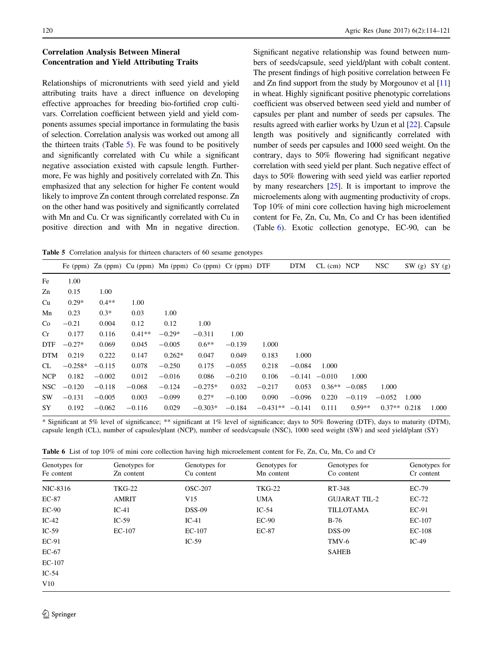# <span id="page-6-0"></span>Correlation Analysis Between Mineral Concentration and Yield Attributing Traits

Relationships of micronutrients with seed yield and yield attributing traits have a direct influence on developing effective approaches for breeding bio-fortified crop cultivars. Correlation coefficient between yield and yield components assumes special importance in formulating the basis of selection. Correlation analysis was worked out among all the thirteen traits (Table 5). Fe was found to be positively and significantly correlated with Cu while a significant negative association existed with capsule length. Furthermore, Fe was highly and positively correlated with Zn. This emphasized that any selection for higher Fe content would likely to improve Zn content through correlated response. Zn on the other hand was positively and significantly correlated with Mn and Cu. Cr was significantly correlated with Cu in positive direction and with Mn in negative direction. Significant negative relationship was found between numbers of seeds/capsule, seed yield/plant with cobalt content. The present findings of high positive correlation between Fe and Zn find support from the study by Morgounov et al [\[11\]](#page-7-0) in wheat. Highly significant positive phenotypic correlations coefficient was observed between seed yield and number of capsules per plant and number of seeds per capsules. The results agreed with earlier works by Uzun et al [[22\]](#page-7-0). Capsule length was positively and significantly correlated with number of seeds per capsules and 1000 seed weight. On the contrary, days to 50% flowering had significant negative correlation with seed yield per plant. Such negative effect of days to 50% flowering with seed yield was earlier reported by many researchers  $[25]$  $[25]$  $[25]$ . It is important to improve the microelements along with augmenting productivity of crops. Top 10% of mini core collection having high microelement content for Fe, Zn, Cu, Mn, Co and Cr has been identified (Table 6). Exotic collection genotype, EC-90, can be

Table 5 Correlation analysis for thirteen characters of 60 sesame genotypes

|            |           |          |          | Fe (ppm) Zn (ppm) Cu (ppm) Mn (ppm) Co (ppm) Cr (ppm) DTF |           |          |            | <b>DTM</b> | $CL$ (cm) $NCP$ |          | <b>NSC</b> | SW(g) SY(g) |       |
|------------|-----------|----------|----------|-----------------------------------------------------------|-----------|----------|------------|------------|-----------------|----------|------------|-------------|-------|
| Fe         | 1.00      |          |          |                                                           |           |          |            |            |                 |          |            |             |       |
| Zn         | 0.15      | 1.00     |          |                                                           |           |          |            |            |                 |          |            |             |       |
| Cu         | $0.29*$   | $0.4**$  | 1.00     |                                                           |           |          |            |            |                 |          |            |             |       |
| Mn         | 0.23      | $0.3*$   | 0.03     | 1.00                                                      |           |          |            |            |                 |          |            |             |       |
| Co         | $-0.21$   | 0.004    | 0.12     | 0.12                                                      | 1.00      |          |            |            |                 |          |            |             |       |
| Cr         | 0.177     | 0.116    | $0.41**$ | $-0.29*$                                                  | $-0.311$  | 1.00     |            |            |                 |          |            |             |       |
| <b>DTF</b> | $-0.27*$  | 0.069    | 0.045    | $-0.005$                                                  | $0.6**$   | $-0.139$ | 1.000      |            |                 |          |            |             |       |
| <b>DTM</b> | 0.219     | 0.222    | 0.147    | $0.262*$                                                  | 0.047     | 0.049    | 0.183      | 1.000      |                 |          |            |             |       |
| CL         | $-0.258*$ | $-0.115$ | 0.078    | $-0.250$                                                  | 0.175     | $-0.055$ | 0.218      | $-0.084$   | 1.000           |          |            |             |       |
| <b>NCP</b> | 0.182     | $-0.002$ | 0.012    | $-0.016$                                                  | 0.086     | $-0.210$ | 0.106      | $-0.141$   | $-0.010$        | 1.000    |            |             |       |
| NSC        | $-0.120$  | $-0.118$ | $-0.068$ | $-0.124$                                                  | $-0.275*$ | 0.032    | $-0.217$   | 0.053      | $0.36**$        | $-0.085$ | 1.000      |             |       |
| SW.        | $-0.131$  | $-0.005$ | 0.003    | $-0.099$                                                  | $0.27*$   | $-0.100$ | 0.090      | $-0.096$   | 0.220           | $-0.119$ | $-0.052$   | 1.000       |       |
| SY         | 0.192     | $-0.062$ | $-0.116$ | 0.029                                                     | $-0.303*$ | $-0.184$ | $-0.431**$ | $-0.141$   | 0.111           | $0.59**$ | $0.37**$   | 0.218       | 1.000 |
|            |           |          |          |                                                           |           |          |            |            |                 |          |            |             |       |

\* Significant at 5% level of significance; \*\* significant at 1% level of significance; days to 50% flowering (DTF), days to maturity (DTM), capsule length (CL), number of capsules/plant (NCP), number of seeds/capsule (NSC), 1000 seed weight (SW) and seed yield/plant (SY)

Table 6 List of top 10% of mini core collection having high microelement content for Fe, Zn, Cu, Mn, Co and Cr

| Genotypes for<br>Fe content | Genotypes for<br>Zn content | Genotypes for<br>Cu content | Genotypes for<br>Mn content | Genotypes for<br>Co content | Genotypes for<br>Cr content |
|-----------------------------|-----------------------------|-----------------------------|-----------------------------|-----------------------------|-----------------------------|
| NIC-8316                    | <b>TKG-22</b>               | <b>OSC-207</b>              | <b>TKG-22</b>               | RT-348                      | <b>EC-79</b>                |
| $EC-87$                     | <b>AMRIT</b>                | V15                         | <b>UMA</b>                  | <b>GUJARAT TIL-2</b>        | $EC-72$                     |
| $EC-90$                     | $IC-41$                     | $DSS-09$                    | $IC-54$                     | <b>TILLOTAMA</b>            | EC-91                       |
| $IC-42$                     | $IC-59$                     | $IC-41$                     | $EC-90$                     | $B-76$                      | $EC-107$                    |
| $IC-59$                     | $EC-107$                    | $EC-107$                    | <b>EC-87</b>                | $DSS-09$                    | $EC-108$                    |
| EC-91                       |                             | $IC-59$                     |                             | TMV-6                       | $IC-49$                     |
| $EC-67$                     |                             |                             |                             | <b>SAHEB</b>                |                             |
| $EC-107$                    |                             |                             |                             |                             |                             |
| $IC-54$                     |                             |                             |                             |                             |                             |
| V10                         |                             |                             |                             |                             |                             |